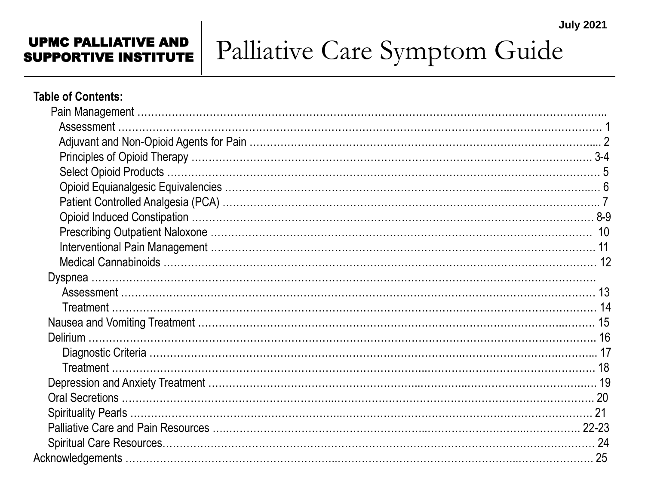#### UPMC PALLIATIVE AND SUPPORTIVE INSTITUTE

# Palliative Care Symptom Guide

#### **Table of Contents:**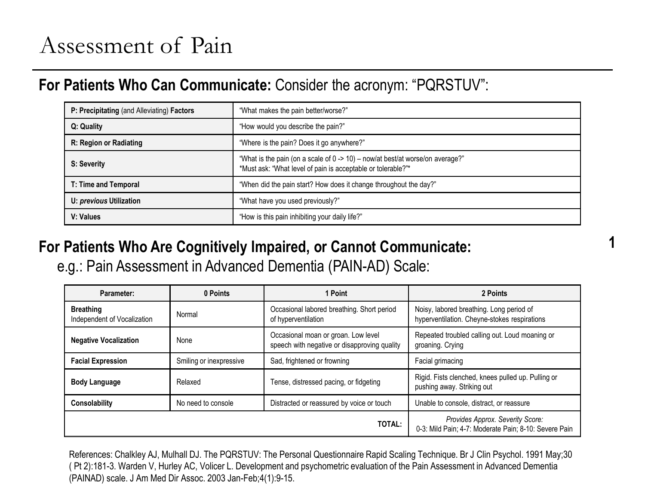### Assessment of Pain

### **For Patients Who Can Communicate:** Consider the acronym: "PQRSTUV":

| P: Precipitating (and Alleviating) Factors                          | "What makes the pain better/worse?"                                                                                                           |
|---------------------------------------------------------------------|-----------------------------------------------------------------------------------------------------------------------------------------------|
| Q: Quality                                                          | "How would you describe the pain?"                                                                                                            |
| "Where is the pain? Does it go anywhere?"<br>R: Region or Radiating |                                                                                                                                               |
| S: Severity                                                         | "What is the pain (on a scale of 0 -> 10) - now/at best/at worse/on average?"<br>*Must ask: "What level of pain is acceptable or tolerable?"* |
| T: Time and Temporal                                                | "When did the pain start? How does it change throughout the day?"                                                                             |
| U: previous Utilization                                             | "What have you used previously?"                                                                                                              |
| V: Values                                                           | "How is this pain inhibiting your daily life?"                                                                                                |

**1**

### **For Patients Who Are Cognitively Impaired, or Cannot Communicate:**

e.g.: Pain Assessment in Advanced Dementia (PAIN-AD) Scale:

| Parameter:                                                                         | 0 Points                                                                    | 1 Point                                                                                   | 2 Points                                                                                 |
|------------------------------------------------------------------------------------|-----------------------------------------------------------------------------|-------------------------------------------------------------------------------------------|------------------------------------------------------------------------------------------|
| <b>Breathing</b><br>Independent of Vocalization                                    | Occasional labored breathing. Short period<br>Normal<br>of hyperventilation |                                                                                           | Noisy, labored breathing. Long period of<br>hyperventilation. Cheyne-stokes respirations |
| <b>Negative Vocalization</b>                                                       | None                                                                        | Occasional moan or groan. Low level<br>speech with negative or disapproving quality       | Repeated troubled calling out. Loud moaning or<br>groaning. Crying                       |
| Sad, frightened or frowning<br><b>Facial Expression</b><br>Smiling or inexpressive |                                                                             | Facial grimacing                                                                          |                                                                                          |
| <b>Body Language</b>                                                               | Relaxed                                                                     | Tense, distressed pacing, or fidgeting                                                    | Rigid. Fists clenched, knees pulled up. Pulling or<br>pushing away. Striking out         |
| Consolability                                                                      | No need to console                                                          | Distracted or reassured by voice or touch                                                 | Unable to console, distract, or reassure                                                 |
|                                                                                    |                                                                             | Provides Approx. Severity Score:<br>0-3: Mild Pain; 4-7: Moderate Pain; 8-10: Severe Pain |                                                                                          |

References: Chalkley AJ, Mulhall DJ. The PQRSTUV: The Personal Questionnaire Rapid Scaling Technique. Br J Clin Psychol. 1991 May;30 ( Pt 2):181-3. Warden V, Hurley AC, Volicer L. Development and psychometric evaluation of the Pain Assessment in Advanced Dementia (PAINAD) scale. J Am Med Dir Assoc. 2003 Jan-Feb;4(1):9-15.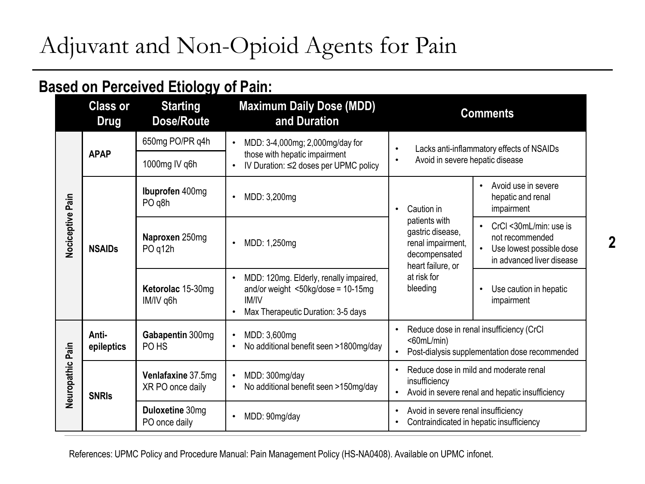# Adjuvant and Non-Opioid Agents for Pain

### **Based on Perceived Etiology of Pain:**

|                  | <b>Class or</b><br><b>Drug</b>                                                                                                   | <b>Starting</b><br>Dose/Route          | <b>Maximum Daily Dose (MDD)</b><br>and Duration                                                                                                                 | <b>Comments</b>                                                                                                                                                                                    |  |  |
|------------------|----------------------------------------------------------------------------------------------------------------------------------|----------------------------------------|-----------------------------------------------------------------------------------------------------------------------------------------------------------------|----------------------------------------------------------------------------------------------------------------------------------------------------------------------------------------------------|--|--|
|                  | 650mg PO/PR q4h                                                                                                                  |                                        | MDD: 3-4,000mg; 2,000mg/day for<br>$\bullet$                                                                                                                    | Lacks anti-inflammatory effects of NSAIDs<br>$\bullet$                                                                                                                                             |  |  |
|                  | <b>APAP</b>                                                                                                                      | 1000mg IV q6h                          | those with hepatic impairment<br>IV Duration: ≤2 doses per UPMC policy                                                                                          | Avoid in severe hepatic disease<br>$\bullet$                                                                                                                                                       |  |  |
|                  | Ibuprofen 400mg<br>PO <sub>q</sub> 8h<br>Naproxen 250mg<br><b>NSAIDs</b><br>PO <sub>q12h</sub><br>Ketorolac 15-30mg<br>IM/IV q6h |                                        | MDD: 3,200mg<br>$\bullet$                                                                                                                                       | Avoid use in severe<br>hepatic and renal<br>impairment<br>Caution in                                                                                                                               |  |  |
| Nociceptive Pain |                                                                                                                                  |                                        | MDD: 1,250mg<br>$\bullet$                                                                                                                                       | patients with<br>CrCl <30mL/min: use is<br>gastric disease,<br>not recommended<br>renal impairment,<br>Use lowest possible dose<br>decompensated<br>in advanced liver disease<br>heart failure, or |  |  |
|                  |                                                                                                                                  |                                        | MDD: 120mg. Elderly, renally impaired,<br>$\bullet$<br>and/or weight $<50$ kg/dose = 10-15mg<br><b>IM/IV</b><br>Max Therapeutic Duration: 3-5 days<br>$\bullet$ | at risk for<br>bleeding<br>Use caution in hepatic<br>$\bullet$<br>impairment                                                                                                                       |  |  |
| Neuropathic Pain | Anti-<br>epileptics                                                                                                              | Gabapentin 300mg<br>PO <sub>HS</sub>   | MDD: 3,600mg<br>$\bullet$<br>No additional benefit seen >1800mg/day                                                                                             | Reduce dose in renal insufficiency (CrCl<br>$60mL/min$<br>Post-dialysis supplementation dose recommended<br>$\bullet$                                                                              |  |  |
|                  | <b>SNRIS</b>                                                                                                                     | Venlafaxine 37.5mg<br>XR PO once daily | MDD: 300mg/day<br>$\bullet$<br>No additional benefit seen >150mg/day                                                                                            | Reduce dose in mild and moderate renal<br>$\bullet$<br>insufficiency<br>Avoid in severe renal and hepatic insufficiency<br>$\bullet$                                                               |  |  |
|                  |                                                                                                                                  | Duloxetine 30mg<br>PO once daily       | MDD: 90mg/day                                                                                                                                                   | Avoid in severe renal insufficiency<br>$\bullet$<br>Contraindicated in hepatic insufficiency                                                                                                       |  |  |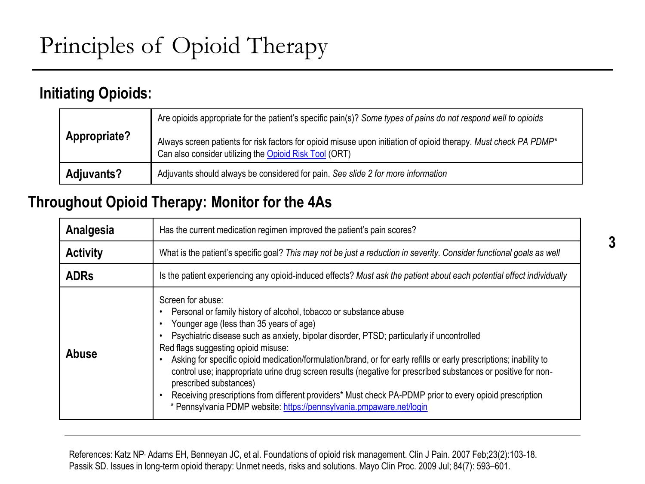### **Initiating Opioids:**

|              | Are opioids appropriate for the patient's specific pain(s)? Some types of pains do not respond well to opioids                                                                         |
|--------------|----------------------------------------------------------------------------------------------------------------------------------------------------------------------------------------|
| Appropriate? | Always screen patients for risk factors for opioid misuse upon initiation of opioid therapy. Must check PA PDMP <sup>*</sup><br>Can also consider utilizing the Opioid Risk Tool (ORT) |
| Adjuvants?   | Adjuvants should always be considered for pain. See slide 2 for more information                                                                                                       |

### **Throughout Opioid Therapy: Monitor for the 4As**

| Analgesia       | Has the current medication regimen improved the patient's pain scores?                                                                                                                                                                                                                                                                                                                                                                                                                                                                                                                                                                                                                                                    |  |  |  |  |
|-----------------|---------------------------------------------------------------------------------------------------------------------------------------------------------------------------------------------------------------------------------------------------------------------------------------------------------------------------------------------------------------------------------------------------------------------------------------------------------------------------------------------------------------------------------------------------------------------------------------------------------------------------------------------------------------------------------------------------------------------------|--|--|--|--|
| <b>Activity</b> | What is the patient's specific goal? This may not be just a reduction in severity. Consider functional goals as well                                                                                                                                                                                                                                                                                                                                                                                                                                                                                                                                                                                                      |  |  |  |  |
| <b>ADRs</b>     | Is the patient experiencing any opioid-induced effects? Must ask the patient about each potential effect individually                                                                                                                                                                                                                                                                                                                                                                                                                                                                                                                                                                                                     |  |  |  |  |
| Abuse           | Screen for abuse:<br>Personal or family history of alcohol, tobacco or substance abuse<br>Younger age (less than 35 years of age)<br>Psychiatric disease such as anxiety, bipolar disorder, PTSD; particularly if uncontrolled<br>Red flags suggesting opioid misuse:<br>Asking for specific opioid medication/formulation/brand, or for early refills or early prescriptions; inability to<br>control use; inappropriate urine drug screen results (negative for prescribed substances or positive for non-<br>prescribed substances)<br>Receiving prescriptions from different providers* Must check PA-PDMP prior to every opioid prescription<br>* Pennsylvania PDMP website: https://pennsylvania.pmpaware.net/login |  |  |  |  |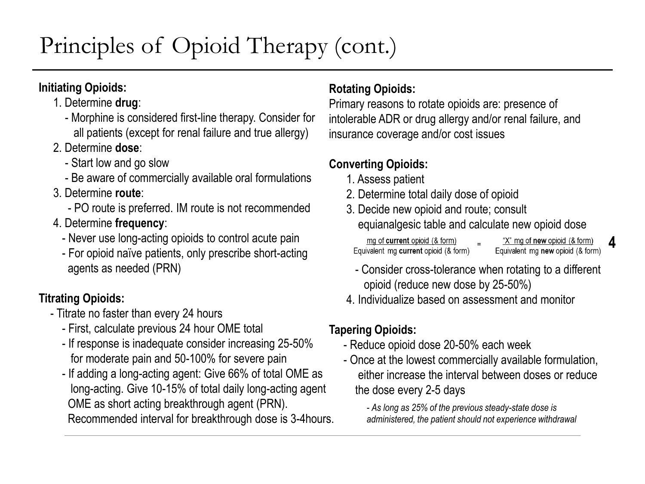# Principles of Opioid Therapy (cont.)

### **Initiating Opioids:**

- 1. Determine **drug**:
	- Morphine is considered first-line therapy. Consider for all patients (except for renal failure and true allergy)
- 2. Determine **dose**:
	- Start low and go slow
	- Be aware of commercially available oral formulations
- 3. Determine **route**:
	- PO route is preferred. IM route is not recommended
- 4. Determine **frequency**:
	- Never use long-acting opioids to control acute pain
	- For opioid naïve patients, only prescribe short-acting agents as needed (PRN)

### **Titrating Opioids:**

- Titrate no faster than every 24 hours
	- First, calculate previous 24 hour OME total
	- If response is inadequate consider increasing 25-50% for moderate pain and 50-100% for severe pain
	- If adding a long-acting agent: Give 66% of total OME as long-acting. Give 10-15% of total daily long-acting agent OME as short acting breakthrough agent (PRN).

Recommended interval for breakthrough dose is 3-4hours.

#### **Rotating Opioids:**

Primary reasons to rotate opioids are: presence of intolerable ADR or drug allergy and/or renal failure, and insurance coverage and/or cost issues

### **Converting Opioids:**

- 1. Assess patient
- 2. Determine total daily dose of opioid
- 3. Decide new opioid and route; consult equianalgesic table and calculate new opioid dose

mg of current opioid (& form) Equivalent mg current opioid (& form)

"X" mg of new opioid (& form) Equivalent mg new opioid (& form)

**4**

- Consider cross-tolerance when rotating to a different opioid (reduce new dose by 25-50%)
- 4. Individualize based on assessment and monitor

#### **Tapering Opioids:**

- Reduce opioid dose 20-50% each week
- Once at the lowest commercially available formulation, either increase the interval between doses or reduce the dose every 2-5 days
	- *- As long as 25% of the previous steady-state dose is administered, the patient should not experience withdrawal*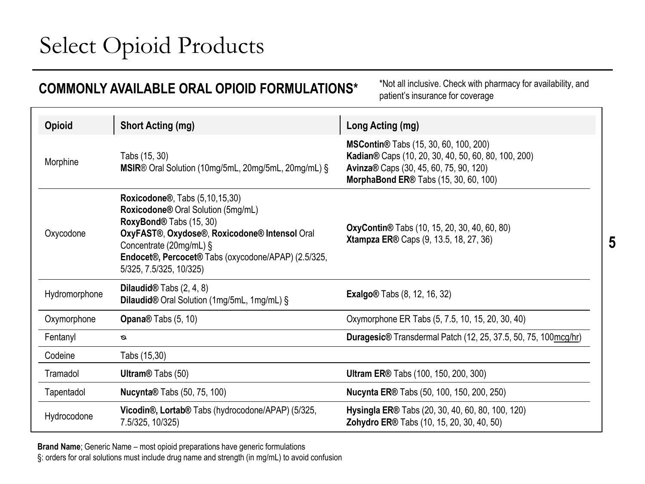# Select Opioid Products

| *Not all inclusive. Check with pharmacy for availability, and<br>COMMONLY AVAILABLE ORAL OPIOID FORMULATIONS*<br>patient's insurance for coverage                                                                                                                                                                                                                                          |                                                                              |                                                                                                                                                                                         |  |  |  |
|--------------------------------------------------------------------------------------------------------------------------------------------------------------------------------------------------------------------------------------------------------------------------------------------------------------------------------------------------------------------------------------------|------------------------------------------------------------------------------|-----------------------------------------------------------------------------------------------------------------------------------------------------------------------------------------|--|--|--|
| <b>Opioid</b>                                                                                                                                                                                                                                                                                                                                                                              | <b>Short Acting (mg)</b>                                                     | Long Acting (mg)                                                                                                                                                                        |  |  |  |
| Tabs (15, 30)<br>Morphine<br>MSIR® Oral Solution (10mg/5mL, 20mg/5mL, 20mg/mL) §                                                                                                                                                                                                                                                                                                           |                                                                              | <b>MSContin</b> ® Tabs (15, 30, 60, 100, 200)<br>Kadian® Caps (10, 20, 30, 40, 50, 60, 80, 100, 200)<br>Avinza® Caps (30, 45, 60, 75, 90, 120)<br>MorphaBond ER® Tabs (15, 30, 60, 100) |  |  |  |
| <b>Roxicodone®, Tabs (5,10,15,30)</b><br>Roxicodone® Oral Solution (5mg/mL)<br>RoxyBond® Tabs (15, 30)<br><b>OxyContin</b> ® Tabs (10, 15, 20, 30, 40, 60, 80)<br>OxyFAST®, Oxydose®, Roxicodone® Intensol Oral<br>Oxycodone<br><b>Xtampza ER® Caps (9, 13.5, 18, 27, 36)</b><br>Concentrate (20mg/mL) §<br>Endocet®, Percocet® Tabs (oxycodone/APAP) (2.5/325,<br>5/325, 7.5/325, 10/325) |                                                                              |                                                                                                                                                                                         |  |  |  |
| Hydromorphone                                                                                                                                                                                                                                                                                                                                                                              | Dilaudid $@$ Tabs $(2, 4, 8)$<br>Dilaudid® Oral Solution (1mg/5mL, 1mg/mL) § | <b>Exalgo</b> <sup>®</sup> Tabs (8, 12, 16, 32)                                                                                                                                         |  |  |  |
| Oxymorphone                                                                                                                                                                                                                                                                                                                                                                                | Opana <sup>®</sup> Tabs (5, 10)                                              | Oxymorphone ER Tabs (5, 7.5, 10, 15, 20, 30, 40)                                                                                                                                        |  |  |  |
| Fentanyl                                                                                                                                                                                                                                                                                                                                                                                   | ø                                                                            | Duragesic® Transdermal Patch (12, 25, 37.5, 50, 75, 100mcg/hr)                                                                                                                          |  |  |  |
| Codeine                                                                                                                                                                                                                                                                                                                                                                                    | Tabs (15,30)                                                                 |                                                                                                                                                                                         |  |  |  |
| Tramadol                                                                                                                                                                                                                                                                                                                                                                                   | Ultram <sup>®</sup> Tabs (50)                                                | <b>Ultram ER®</b> Tabs (100, 150, 200, 300)                                                                                                                                             |  |  |  |
| Tapentadol                                                                                                                                                                                                                                                                                                                                                                                 | <b>Nucynta®</b> Tabs (50, 75, 100)                                           | Nucynta ER® Tabs (50, 100, 150, 200, 250)                                                                                                                                               |  |  |  |
| Hydrocodone                                                                                                                                                                                                                                                                                                                                                                                | Vicodin®, Lortab® Tabs (hydrocodone/APAP) (5/325,<br>7.5/325, 10/325)        | Hysingla ER® Tabs (20, 30, 40, 60, 80, 100, 120)<br>Zohydro ER® Tabs (10, 15, 20, 30, 40, 50)                                                                                           |  |  |  |

**Brand Name**; Generic Name – most opioid preparations have generic formulations §: orders for oral solutions must include drug name and strength (in mg/mL) to avoid confusion **5**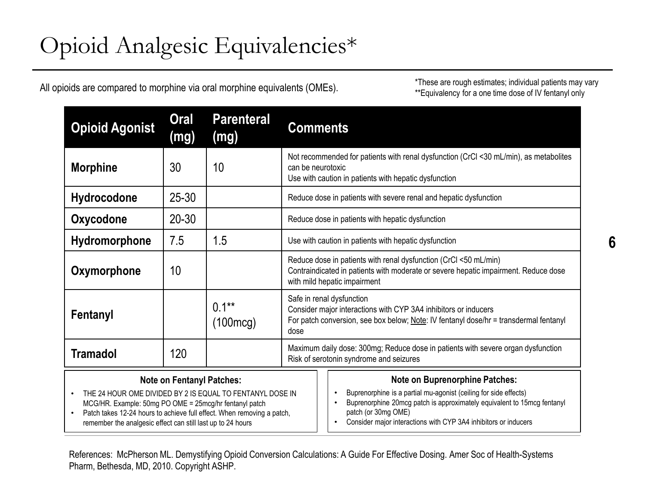All opioids are compared to morphine via oral morphine equivalents (OMEs).

\*These are rough estimates; individual patients may vary \*\*Equivalency for a one time dose of IV fentanyl only

| <b>Opioid Agonist</b>                                                                                                                                                                                                                                                                                                      | <b>Oral</b><br>(mg) | <b>Parenteral</b><br>(mg) | <b>Comments</b>                                                                                                                                                                                                                                                                                          |                                                                   |  |
|----------------------------------------------------------------------------------------------------------------------------------------------------------------------------------------------------------------------------------------------------------------------------------------------------------------------------|---------------------|---------------------------|----------------------------------------------------------------------------------------------------------------------------------------------------------------------------------------------------------------------------------------------------------------------------------------------------------|-------------------------------------------------------------------|--|
| <b>Morphine</b>                                                                                                                                                                                                                                                                                                            | 30                  | 10                        | Not recommended for patients with renal dysfunction (CrCl <30 mL/min), as metabolites<br>can be neurotoxic<br>Use with caution in patients with hepatic dysfunction                                                                                                                                      |                                                                   |  |
| Hydrocodone                                                                                                                                                                                                                                                                                                                | $25 - 30$           |                           |                                                                                                                                                                                                                                                                                                          | Reduce dose in patients with severe renal and hepatic dysfunction |  |
| Oxycodone                                                                                                                                                                                                                                                                                                                  | $20 - 30$           |                           |                                                                                                                                                                                                                                                                                                          | Reduce dose in patients with hepatic dysfunction                  |  |
| Hydromorphone                                                                                                                                                                                                                                                                                                              | 7.5                 | 1.5                       | Use with caution in patients with hepatic dysfunction                                                                                                                                                                                                                                                    |                                                                   |  |
| Oxymorphone                                                                                                                                                                                                                                                                                                                | 10                  |                           | Reduce dose in patients with renal dysfunction (CrCl <50 mL/min)<br>Contraindicated in patients with moderate or severe hepatic impairment. Reduce dose<br>with mild hepatic impairment                                                                                                                  |                                                                   |  |
| Fentanyl                                                                                                                                                                                                                                                                                                                   |                     | $0.1***$<br>(100mcg)      | Safe in renal dysfunction<br>Consider major interactions with CYP 3A4 inhibitors or inducers<br>For patch conversion, see box below; Note: IV fentanyl dose/hr = transdermal fentanyl<br>dose                                                                                                            |                                                                   |  |
| <b>Tramadol</b>                                                                                                                                                                                                                                                                                                            | 120                 |                           | Maximum daily dose: 300mg; Reduce dose in patients with severe organ dysfunction<br>Risk of serotonin syndrome and seizures                                                                                                                                                                              |                                                                   |  |
| <b>Note on Fentanyl Patches:</b><br>THE 24 HOUR OME DIVIDED BY 2 IS EQUAL TO FENTANYL DOSE IN<br>$\bullet$<br>MCG/HR. Example: 50mg PO OME = 25mcg/hr fentanyl patch<br>Patch takes 12-24 hours to achieve full effect. When removing a patch,<br>$\bullet$<br>remember the analgesic effect can still last up to 24 hours |                     |                           | <b>Note on Buprenorphine Patches:</b><br>Buprenorphine is a partial mu-agonist (ceiling for side effects)<br>Buprenorphine 20mcg patch is approximately equivalent to 15mcg fentanyl<br>$\bullet$<br>patch (or 30mg OME)<br>Consider major interactions with CYP 3A4 inhibitors or inducers<br>$\bullet$ |                                                                   |  |

References: McPherson ML. Demystifying Opioid Conversion Calculations: A Guide For Effective Dosing. Amer Soc of Health-Systems Pharm, Bethesda, MD, 2010. Copyright ASHP.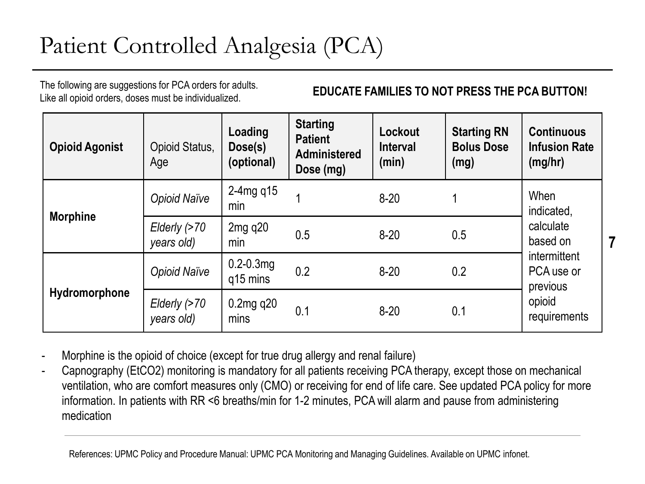# Patient Controlled Analgesia (PCA)

The following are suggestions for PCA orders for adults. Like all opioid orders, doses must be individualized.

**EDUCATE FAMILIES TO NOT PRESS THE PCA BUTTON!**

**7**

| <b>Opioid Agonist</b> | Opioid Status,<br>Age      | Loading<br>Dose(s)<br>(optional) | <b>Starting</b><br><b>Patient</b><br><b>Administered</b><br>Dose (mg) | Lockout<br><b>Interval</b><br>(min) | <b>Starting RN</b><br><b>Bolus Dose</b><br>(mg) | <b>Continuous</b><br><b>Infusion Rate</b><br>(mg/hr) |
|-----------------------|----------------------------|----------------------------------|-----------------------------------------------------------------------|-------------------------------------|-------------------------------------------------|------------------------------------------------------|
|                       | <b>Opioid Naïve</b>        | 2-4mg $q15$<br>min               |                                                                       | $8 - 20$                            |                                                 | When<br>indicated,                                   |
| <b>Morphine</b>       | Elderly (>70<br>years old) | 2mg q20<br>min                   | 0.5                                                                   | $8 - 20$                            | 0.5                                             | calculate<br>based on                                |
| Hydromorphone         | <b>Opioid Naïve</b>        | $0.2 - 0.3$ mg<br>q15 mins       | 0.2                                                                   | $8 - 20$                            | 0.2                                             | intermittent<br>PCA use or<br>previous               |
|                       | Elderly (>70<br>years old) | $0.2$ mg q $20$<br>mins          | 0.1                                                                   | $8 - 20$                            | 0.1                                             | opioid<br>requirements                               |

- Morphine is the opioid of choice (except for true drug allergy and renal failure)
- Capnography (EtCO2) monitoring is mandatory for all patients receiving PCA therapy, except those on mechanical ventilation, who are comfort measures only (CMO) or receiving for end of life care. See updated PCA policy for more information. In patients with RR <6 breaths/min for 1-2 minutes, PCA will alarm and pause from administering medication

References: UPMC Policy and Procedure Manual: UPMC PCA Monitoring and Managing Guidelines. Available on UPMC infonet.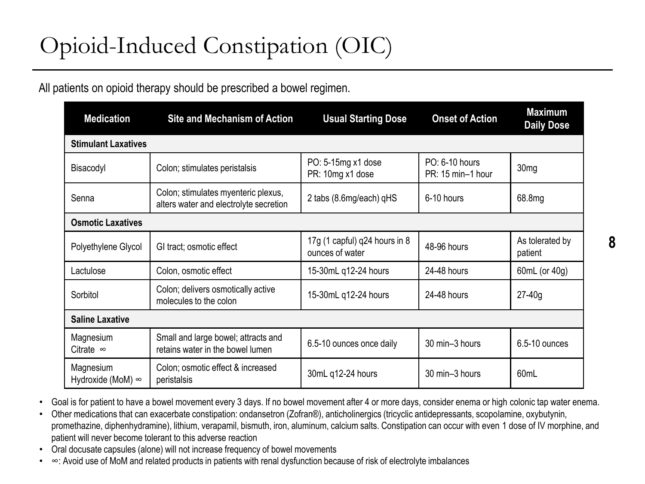# Opioid-Induced Constipation (OIC)

#### All patients on opioid therapy should be prescribed a bowel regimen.

| <b>Medication</b>                     | <b>Site and Mechanism of Action</b>                                           | <b>Usual Starting Dose</b>                       | <b>Onset of Action</b>              | <b>Maximum</b><br><b>Daily Dose</b> |  |
|---------------------------------------|-------------------------------------------------------------------------------|--------------------------------------------------|-------------------------------------|-------------------------------------|--|
| <b>Stimulant Laxatives</b>            |                                                                               |                                                  |                                     |                                     |  |
| Bisacodyl                             | Colon; stimulates peristalsis                                                 | PO: 5-15mg x1 dose<br>PR: 10mg x1 dose           | PO: 6-10 hours<br>PR: 15 min-1 hour | 30 <sub>mg</sub>                    |  |
| Senna                                 | Colon; stimulates myenteric plexus,<br>alters water and electrolyte secretion | 2 tabs (8.6mg/each) qHS                          | 6-10 hours                          | 68.8mg                              |  |
| <b>Osmotic Laxatives</b>              |                                                                               |                                                  |                                     |                                     |  |
| Polyethylene Glycol                   | GI tract; osmotic effect                                                      | 17g (1 capful) q24 hours in 8<br>ounces of water | 48-96 hours                         | As tolerated by<br>patient          |  |
| Lactulose                             | Colon, osmotic effect                                                         | 15-30mL q12-24 hours                             | 24-48 hours                         | 60mL (or 40g)                       |  |
| Sorbitol                              | Colon; delivers osmotically active<br>molecules to the colon                  |                                                  | 24-48 hours                         | $27-40g$                            |  |
| <b>Saline Laxative</b>                |                                                                               |                                                  |                                     |                                     |  |
| Magnesium<br>Citrate $\infty$         | Small and large bowel; attracts and<br>retains water in the bowel lumen       | 6.5-10 ounces once daily                         | 30 min-3 hours                      | 6.5-10 ounces                       |  |
| Magnesium<br>Hydroxide (MoM) $\infty$ | Colon; osmotic effect & increased<br>peristalsis                              | 30mL q12-24 hours                                | 30 min-3 hours                      | 60mL                                |  |

• Goal is for patient to have a bowel movement every 3 days. If no bowel movement after 4 or more days, consider enema or high colonic tap water enema.

• Other medications that can exacerbate constipation: ondansetron (Zofran®), anticholinergics (tricyclic antidepressants, scopolamine, oxybutynin, promethazine, diphenhydramine), lithium, verapamil, bismuth, iron, aluminum, calcium salts. Constipation can occur with even 1 dose of IV morphine, and patient will never become tolerant to this adverse reaction

• Oral docusate capsules (alone) will not increase frequency of bowel movements

• ∞: Avoid use of MoM and related products in patients with renal dysfunction because of risk of electrolyte imbalances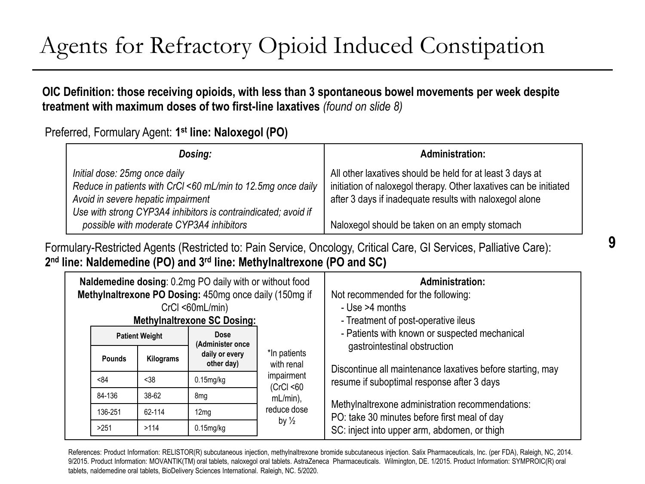# Agents for Refractory Opioid Induced Constipation

#### **OIC Definition: those receiving opioids, with less than 3 spontaneous bowel movements per week despite treatment with maximum doses of two first-line laxatives** *(found on slide 8)*

Preferred, Formulary Agent: **1 st line: Naloxegol (PO)**

| Dosing:                                                                                                                             | <b>Administration:</b>                                                                                                                                                                    |
|-------------------------------------------------------------------------------------------------------------------------------------|-------------------------------------------------------------------------------------------------------------------------------------------------------------------------------------------|
| Initial dose: 25mg once daily<br>Reduce in patients with CrCl <60 mL/min to 12.5mg once daily<br>Avoid in severe hepatic impairment | All other laxatives should be held for at least 3 days at<br>initiation of naloxegol therapy. Other laxatives can be initiated<br>after 3 days if inadequate results with naloxegol alone |
| Use with strong CYP3A4 inhibitors is contraindicated; avoid if<br>possible with moderate CYP3A4 inhibitors                          | Naloxegol should be taken on an empty stomach                                                                                                                                             |

Formulary-Restricted Agents (Restricted to: Pain Service, Oncology, Critical Care, GI Services, Palliative Care): **2 nd line: Naldemedine (PO) and 3rd line: Methylnaltrexone (PO and SC)**

| Naldemedine dosing: 0.2mg PO daily with or without food<br>Methylnaltrexone PO Dosing: 450mg once daily (150mg if<br>$CrCl < 60mL/min$ )<br><b>Methylnaltrexone SC Dosing:</b> |           |                              |                                                                                      | <b>Administration:</b><br>Not recommended for the following:<br>- Use >4 months<br>- Treatment of post-operative ileus |
|--------------------------------------------------------------------------------------------------------------------------------------------------------------------------------|-----------|------------------------------|--------------------------------------------------------------------------------------|------------------------------------------------------------------------------------------------------------------------|
| Dose<br><b>Patient Weight</b><br>(Administer once                                                                                                                              |           |                              | - Patients with known or suspected mechanical                                        |                                                                                                                        |
| <b>Pounds</b>                                                                                                                                                                  | Kilograms | daily or every<br>other day) | *In patients<br>with renal<br>impairment<br>(CrCl < 60<br>$mL/min$ ),<br>reduce dose | gastrointestinal obstruction<br>Discontinue all maintenance laxatives before starting, may                             |
| <84                                                                                                                                                                            | <38       | $0.15$ mg/kg                 |                                                                                      | resume if suboptimal response after 3 days                                                                             |
| 84-136                                                                                                                                                                         | 38-62     | 8 <sub>mg</sub>              |                                                                                      |                                                                                                                        |
| 136-251                                                                                                                                                                        | 62-114    | 12 <sub>mg</sub>             |                                                                                      | Methylnaltrexone administration recommendations:<br>PO: take 30 minutes before first meal of day                       |
| >251                                                                                                                                                                           | >114      | $0.15$ mg/kg                 | by $\frac{1}{2}$                                                                     | SC: inject into upper arm, abdomen, or thigh                                                                           |

References: Product Information: RELISTOR(R) subcutaneous injection, methylnaltrexone bromide subcutaneous injection. Salix Pharmaceuticals, Inc. (per FDA), Raleigh, NC, 2014. 9/2015. Product Information: MOVANTIK(TM) oral tablets, naloxegol oral tablets. AstraZeneca Pharmaceuticals. Wilmington, DE. 1/2015. Product Information: SYMPROIC(R) oral tablets, naldemedine oral tablets, BioDelivery Sciences International. Raleigh, NC. 5/2020.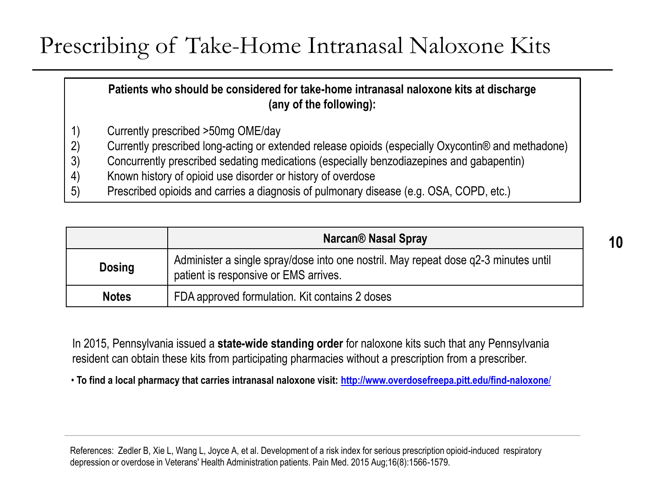### Prescribing of Take-Home Intranasal Naloxone Kits

**Patients who should be considered for take-home intranasal naloxone kits at discharge (any of the following):** 

- 1) Currently prescribed >50mg OME/day
- 2) Currently prescribed long-acting or extended release opioids (especially Oxycontin® and methadone)
- 3) Concurrently prescribed sedating medications (especially benzodiazepines and gabapentin)
- 4) Known history of opioid use disorder or history of overdose
- 5) Prescribed opioids and carries a diagnosis of pulmonary disease (e.g. OSA, COPD, etc.)

|               | <b>Narcan<sup>®</sup> Nasal Spray</b>                                                                                        |
|---------------|------------------------------------------------------------------------------------------------------------------------------|
| <b>Dosing</b> | Administer a single spray/dose into one nostril. May repeat dose q2-3 minutes until<br>patient is responsive or EMS arrives. |
| <b>Notes</b>  | FDA approved formulation. Kit contains 2 doses                                                                               |

In 2015, Pennsylvania issued a **state-wide standing order** for naloxone kits such that any Pennsylvania resident can obtain these kits from participating pharmacies without a prescription from a prescriber.

• **To find a local pharmacy that carries intranasal naloxone visit: [http://www.overdosefreepa.pitt.edu/find-naloxone](http://www.overdosefreepa.pitt.edu/find-naloxone/)**/

References: Zedler B, Xie L, Wang L, Joyce A, et al. Development of a risk index for serious prescription opioid-induced respiratory depression or overdose in Veterans' Health Administration patients. Pain Med. 2015 Aug;16(8):1566-1579.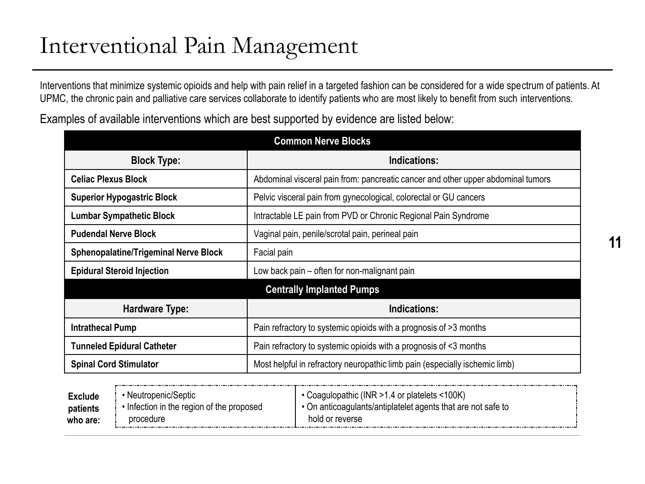### Interventional Pain Management

Interventions that minimize systemic opioids and help with pain relief in a targeted fashion can be considered for a wide spectrum of patients. At UPMC, the chronic pain and palliative care services collaborate to identify patients who are most likely to benefit from such interventions.

Examples of available interventions which are best supported by evidence are listed below:

| <b>Common Nerve Blocks</b>                   |                                                                                  |  |  |  |
|----------------------------------------------|----------------------------------------------------------------------------------|--|--|--|
| <b>Block Type:</b>                           | Indications:                                                                     |  |  |  |
| <b>Celiac Plexus Block</b>                   | Abdominal visceral pain from: pancreatic cancer and other upper abdominal tumors |  |  |  |
| <b>Superior Hypogastric Block</b>            | Pelvic visceral pain from gynecological, colorectal or GU cancers                |  |  |  |
| <b>Lumbar Sympathetic Block</b>              | Intractable LE pain from PVD or Chronic Regional Pain Syndrome                   |  |  |  |
| <b>Pudendal Nerve Block</b>                  | Vaginal pain, penile/scrotal pain, perineal pain                                 |  |  |  |
| <b>Sphenopalatine/Trigeminal Nerve Block</b> | Facial pain                                                                      |  |  |  |
| <b>Epidural Steroid Injection</b>            | Low back pain – often for non-malignant pain                                     |  |  |  |
|                                              | <b>Centrally Implanted Pumps</b>                                                 |  |  |  |
| Hardware Type:                               | Indications:                                                                     |  |  |  |
| <b>Intrathecal Pump</b>                      | Pain refractory to systemic opioids with a prognosis of >3 months                |  |  |  |
| <b>Tunneled Epidural Catheter</b>            | Pain refractory to systemic opioids with a prognosis of <3 months                |  |  |  |
| <b>Spinal Cord Stimulator</b>                | Most helpful in refractory neuropathic limb pain (especially ischemic limb)      |  |  |  |

| $\mathsf{Exclude}$ | ∙ Neutropenic/Septic                    | Coagulopathic (INR > 1.4 or platelets < 100K)              |  |
|--------------------|-----------------------------------------|------------------------------------------------------------|--|
| patients           | Infection in the region of the proposed | On anticoaquiants/antiplatelet agents that are not safe to |  |
| who are:           | procedure                               | hold or reverse                                            |  |

**11**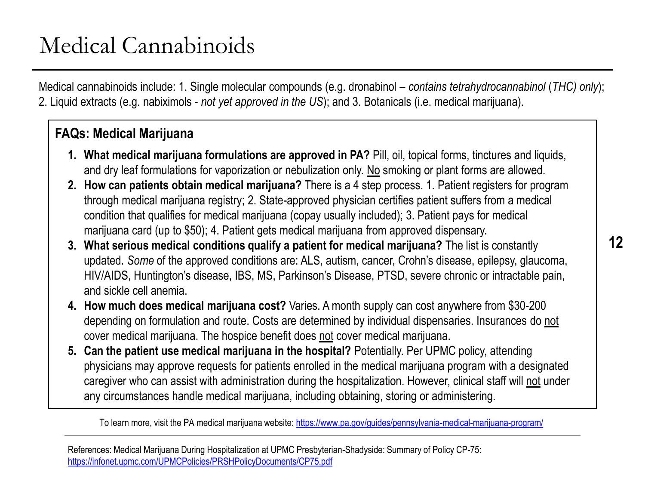# Medical Cannabinoids

Medical cannabinoids include: 1. Single molecular compounds (e.g. dronabinol – *contains tetrahydrocannabinol* (*THC) only*); 2. Liquid extracts (e.g. nabiximols - *not yet approved in the US*); and 3. Botanicals (i.e. medical marijuana).

### **FAQs: Medical Marijuana**

- **1. What medical marijuana formulations are approved in PA?** Pill, oil, topical forms, tinctures and liquids, and dry leaf formulations for vaporization or nebulization only. No smoking or plant forms are allowed.
- **2. How can patients obtain medical marijuana?** There is a 4 step process. 1. Patient registers for program through medical marijuana registry; 2. State-approved physician certifies patient suffers from a medical condition that qualifies for medical marijuana (copay usually included); 3. Patient pays for medical marijuana card (up to \$50); 4. Patient gets medical marijuana from approved dispensary.
- **3. What serious medical conditions qualify a patient for medical marijuana?** The list is constantly updated. *Some* of the approved conditions are: ALS, autism, cancer, Crohn's disease, epilepsy, glaucoma, HIV/AIDS, Huntington's disease, IBS, MS, Parkinson's Disease, PTSD, severe chronic or intractable pain, and sickle cell anemia.
- **4. How much does medical marijuana cost?** Varies. A month supply can cost anywhere from \$30-200 depending on formulation and route. Costs are determined by individual dispensaries. Insurances do not cover medical marijuana. The hospice benefit does not cover medical marijuana.
- **5. Can the patient use medical marijuana in the hospital?** Potentially. Per UPMC policy, attending physicians may approve requests for patients enrolled in the medical marijuana program with a designated caregiver who can assist with administration during the hospitalization. However, clinical staff will not under any circumstances handle medical marijuana, including obtaining, storing or administering.

To learn more, visit the PA medical marijuana website:<https://www.pa.gov/guides/pennsylvania-medical-marijuana-program/>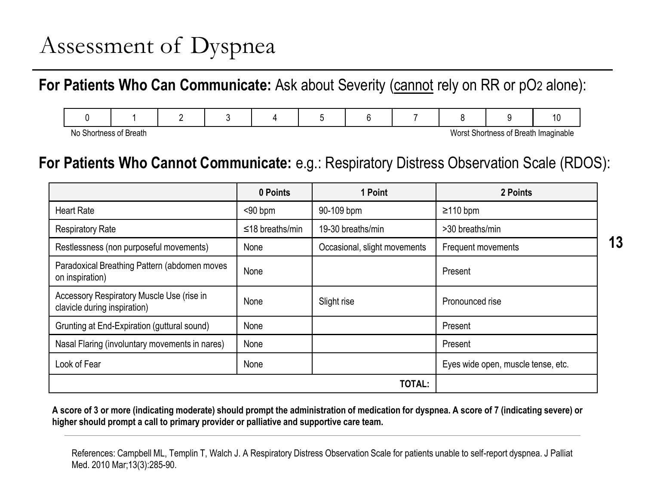# Assessment of Dyspnea

For Patients Who Can Communicate: Ask about Severity (cannot rely on RR or pO<sub>2</sub> alone):

| the contract of the contract of the contract of the contract of the contract of the contract of the contract of |  |  |  | the contract of the contract of the contract of the contract of the contract of the contract of the contract of | ___ |  |
|-----------------------------------------------------------------------------------------------------------------|--|--|--|-----------------------------------------------------------------------------------------------------------------|-----|--|

No Shortness of Breath Worst Shortness of Breath Imaginable

### **For Patients Who Cannot Communicate:** e.g.: Respiratory Distress Observation Scale (RDOS):

|                                                                           | 0 Points              | 1 Point                      | 2 Points                           |
|---------------------------------------------------------------------------|-----------------------|------------------------------|------------------------------------|
| <b>Heart Rate</b>                                                         | $90$ bpm              | 90-109 bpm                   | $\geq$ 110 bpm                     |
| <b>Respiratory Rate</b>                                                   | $\leq$ 18 breaths/min | 19-30 breaths/min            | >30 breaths/min                    |
| Restlessness (non purposeful movements)                                   | None                  | Occasional, slight movements | Frequent movements                 |
| Paradoxical Breathing Pattern (abdomen moves<br>on inspiration)           | None                  |                              | Present                            |
| Accessory Respiratory Muscle Use (rise in<br>clavicle during inspiration) | None                  | Slight rise                  | Pronounced rise                    |
| Grunting at End-Expiration (guttural sound)                               | None                  |                              | Present                            |
| Nasal Flaring (involuntary movements in nares)                            | None                  |                              | Present                            |
| Look of Fear                                                              | None                  |                              | Eyes wide open, muscle tense, etc. |
|                                                                           |                       | TOTAL:                       |                                    |

**A score of 3 or more (indicating moderate) should prompt the administration of medication for dyspnea. A score of 7 (indicating severe) or higher should prompt a call to primary provider or palliative and supportive care team.**

References: Campbell ML, Templin T, Walch J. A Respiratory Distress Observation Scale for patients unable to self-report dyspnea. J Palliat Med. 2010 Mar;13(3):285-90.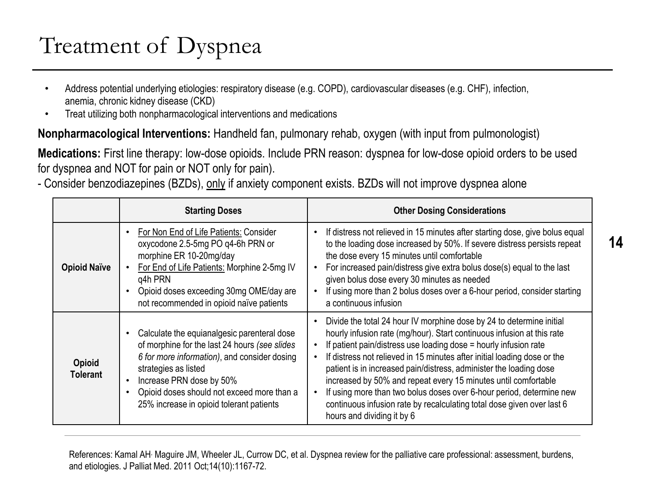# Treatment of Dyspnea

- Address potential underlying etiologies: respiratory disease (e.g. COPD), cardiovascular diseases (e.g. CHF), infection, anemia, chronic kidney disease (CKD)
- Treat utilizing both nonpharmacological interventions and medications

#### **Nonpharmacological Interventions:** Handheld fan, pulmonary rehab, oxygen (with input from pulmonologist)

**Medications:** First line therapy: low-dose opioids. Include PRN reason: dyspnea for low-dose opioid orders to be used for dyspnea and NOT for pain or NOT only for pain).

- Consider benzodiazepines (BZDs), only if anxiety component exists. BZDs will not improve dyspnea alone

|                                  | <b>Starting Doses</b>                                                                                                                                                                                                                                                                                                             | <b>Other Dosing Considerations</b>                                                                                                                                                                                                                                                                                                                                                                                                                                                                                                                                                                                                                    |
|----------------------------------|-----------------------------------------------------------------------------------------------------------------------------------------------------------------------------------------------------------------------------------------------------------------------------------------------------------------------------------|-------------------------------------------------------------------------------------------------------------------------------------------------------------------------------------------------------------------------------------------------------------------------------------------------------------------------------------------------------------------------------------------------------------------------------------------------------------------------------------------------------------------------------------------------------------------------------------------------------------------------------------------------------|
| <b>Opioid Naïve</b>              | For Non End of Life Patients: Consider<br>$\bullet$<br>oxycodone 2.5-5mg PO q4-6h PRN or<br>morphine ER 10-20mg/day<br>For End of Life Patients: Morphine 2-5mg IV<br>$\bullet$<br>q4h PRN<br>Opioid doses exceeding 30mg OME/day are<br>$\bullet$<br>not recommended in opioid naïve patients                                    | If distress not relieved in 15 minutes after starting dose, give bolus equal<br>$\bullet$<br>to the loading dose increased by 50%. If severe distress persists repeat<br>the dose every 15 minutes until comfortable<br>For increased pain/distress give extra bolus dose(s) equal to the last<br>$\bullet$<br>given bolus dose every 30 minutes as needed<br>If using more than 2 bolus doses over a 6-hour period, consider starting<br>$\bullet$<br>a continuous infusion                                                                                                                                                                          |
| <b>Opioid</b><br><b>Tolerant</b> | Calculate the equianalgesic parenteral dose<br>$\bullet$<br>of morphine for the last 24 hours (see slides<br>6 for more information), and consider dosing<br>strategies as listed<br>Increase PRN dose by 50%<br>$\bullet$<br>Opioid doses should not exceed more than a<br>$\bullet$<br>25% increase in opioid tolerant patients | Divide the total 24 hour IV morphine dose by 24 to determine initial<br>$\bullet$<br>hourly infusion rate (mg/hour). Start continuous infusion at this rate<br>If patient pain/distress use loading dose = hourly infusion rate<br>If distress not relieved in 15 minutes after initial loading dose or the<br>٠<br>patient is in increased pain/distress, administer the loading dose<br>increased by 50% and repeat every 15 minutes until comfortable<br>If using more than two bolus doses over 6-hour period, determine new<br>$\bullet$<br>continuous infusion rate by recalculating total dose given over last 6<br>hours and dividing it by 6 |

References: Kamal AH<sup>,</sup> Maguire JM, Wheeler JL, Currow DC, et al. Dyspnea review for the palliative care professional: assessment, burdens, and etiologies. J Palliat Med. 2011 Oct;14(10):1167-72.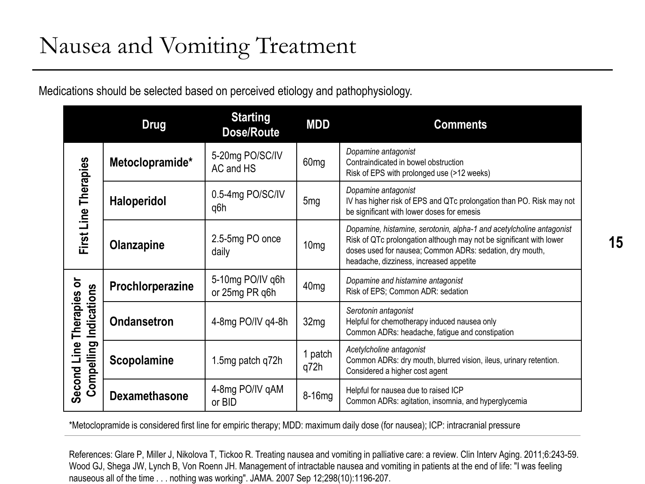Medications should be selected based on perceived etiology and pathophysiology.

|                           | <b>Drug</b>          | <b>Starting</b><br><b>Dose/Route</b> | <b>MDD</b>       | <b>Comments</b>                                                                                                                                                                                                                                    |
|---------------------------|----------------------|--------------------------------------|------------------|----------------------------------------------------------------------------------------------------------------------------------------------------------------------------------------------------------------------------------------------------|
|                           | Metoclopramide*      | 5-20mg PO/SC/IV<br>AC and HS         | 60 <sub>mg</sub> | Dopamine antagonist<br>Contraindicated in bowel obstruction<br>Risk of EPS with prolonged use (>12 weeks)                                                                                                                                          |
| First Line Therapies      | <b>Haloperidol</b>   | 0.5-4mg PO/SC/IV<br>q6h              | 5 <sub>mg</sub>  | Dopamine antagonist<br>IV has higher risk of EPS and QTc prolongation than PO. Risk may not<br>be significant with lower doses for emesis                                                                                                          |
|                           | Olanzapine           | 2.5-5mg PO once<br>daily             | 10 <sub>mg</sub> | Dopamine, histamine, serotonin, alpha-1 and acetylcholine antagonist<br>Risk of QTc prolongation although may not be significant with lower<br>doses used for nausea; Common ADRs: sedation, dry mouth,<br>headache, dizziness, increased appetite |
| ð                         | Prochlorperazine     | 5-10mg PO/IV q6h<br>or 25mg PR q6h   | 40 <sub>mg</sub> | Dopamine and histamine antagonist<br>Risk of EPS; Common ADR: sedation                                                                                                                                                                             |
| Indications<br>Therapies  | <b>Ondansetron</b>   | 4-8mg PO/IV q4-8h                    | 32 <sub>mg</sub> | Serotonin antagonist<br>Helpful for chemotherapy induced nausea only<br>Common ADRs: headache, fatigue and constipation                                                                                                                            |
| Compelling<br>Second Line | Scopolamine          | 1.5mg patch q72h                     | 1 patch<br>q72h  | Acetylcholine antagonist<br>Common ADRs: dry mouth, blurred vision, ileus, urinary retention.<br>Considered a higher cost agent                                                                                                                    |
|                           | <b>Dexamethasone</b> | 4-8mg PO/IV gAM<br>or BID            | 8-16mg           | Helpful for nausea due to raised ICP<br>Common ADRs: agitation, insomnia, and hyperglycemia                                                                                                                                                        |

\*Metoclopramide is considered first line for empiric therapy; MDD: maximum daily dose (for nausea); ICP: intracranial pressure

References: Glare P, Miller J, Nikolova T, Tickoo R. Treating nausea and vomiting in palliative care: a review. Clin Interv Aging. 2011;6:243-59. Wood GJ, Shega JW, Lynch B, Von Roenn JH. Management of intractable nausea and vomiting in patients at the end of life: "I was feeling nauseous all of the time . . . nothing was working". JAMA. 2007 Sep 12;298(10):1196-207.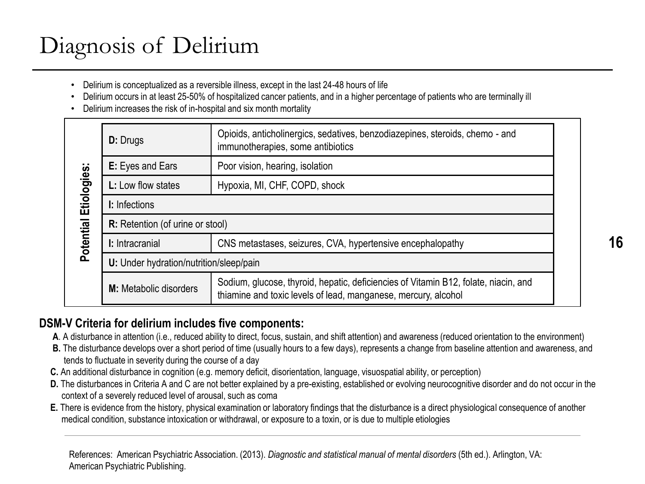# Diagnosis of Delirium

- Delirium is conceptualized as a reversible illness, except in the last 24-48 hours of life
- Delirium occurs in at least 25-50% of hospitalized cancer patients, and in a higher percentage of patients who are terminally ill
- Delirium increases the risk of in-hospital and six month mortality

|             | <b>D:</b> Drugs                                                                                                                                                                        | Opioids, anticholinergics, sedatives, benzodiazepines, steroids, chemo - and<br>immunotherapies, some antibiotics |  |  |
|-------------|----------------------------------------------------------------------------------------------------------------------------------------------------------------------------------------|-------------------------------------------------------------------------------------------------------------------|--|--|
|             | <b>E:</b> Eyes and Ears                                                                                                                                                                | Poor vision, hearing, isolation                                                                                   |  |  |
| Etiologies: | <b>L:</b> Low flow states                                                                                                                                                              | Hypoxia, MI, CHF, COPD, shock                                                                                     |  |  |
|             | I: Infections                                                                                                                                                                          |                                                                                                                   |  |  |
|             | <b>R:</b> Retention (of urine or stool)                                                                                                                                                |                                                                                                                   |  |  |
| Potential   | I: Intracranial                                                                                                                                                                        | CNS metastases, seizures, CVA, hypertensive encephalopathy                                                        |  |  |
|             | U: Under hydration/nutrition/sleep/pain                                                                                                                                                |                                                                                                                   |  |  |
|             | Sodium, glucose, thyroid, hepatic, deficiencies of Vitamin B12, folate, niacin, and<br><b>M:</b> Metabolic disorders<br>thiamine and toxic levels of lead, manganese, mercury, alcohol |                                                                                                                   |  |  |

#### **DSM-V Criteria for delirium includes five components:**

- **A**. A disturbance in attention (i.e., reduced ability to direct, focus, sustain, and shift attention) and awareness (reduced orientation to the environment)
- **B.** The disturbance develops over a short period of time (usually hours to a few days), represents a change from baseline attention and awareness, and tends to fluctuate in severity during the course of a day
- **C.** An additional disturbance in cognition (e.g. memory deficit, disorientation, language, visuospatial ability, or perception)
- **D.** The disturbances in Criteria A and C are not better explained by a pre-existing, established or evolving neurocognitive disorder and do not occur in the context of a severely reduced level of arousal, such as coma
- **E.** There is evidence from the history, physical examination or laboratory findings that the disturbance is a direct physiological consequence of another medical condition, substance intoxication or withdrawal, or exposure to a toxin, or is due to multiple etiologies

References: American Psychiatric Association. (2013). *Diagnostic and statistical manual of mental disorders* (5th ed.). Arlington, VA: American Psychiatric Publishing.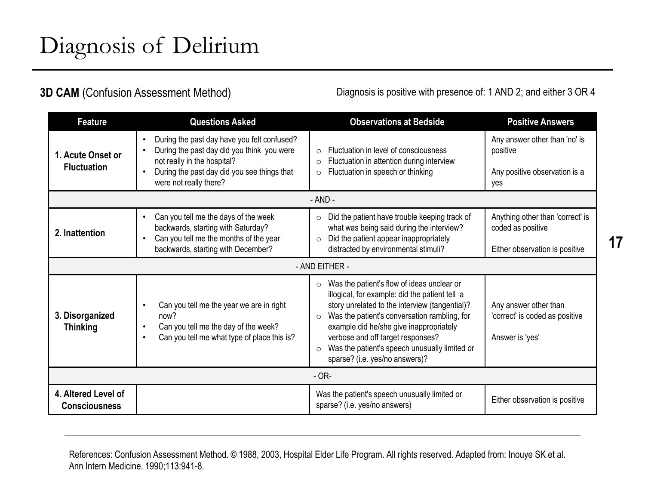#### **3D CAM** (Confusion Assessment Method)

Diagnosis is positive with presence of: 1 AND 2; and either 3 OR 4

| <b>Feature</b>                              | <b>Questions Asked</b>                                                                                                                                                                                                      | <b>Observations at Bedside</b>                                                                                                                                                                                                                                                                                                                                                                     | <b>Positive Answers</b>                                                                 |  |  |
|---------------------------------------------|-----------------------------------------------------------------------------------------------------------------------------------------------------------------------------------------------------------------------------|----------------------------------------------------------------------------------------------------------------------------------------------------------------------------------------------------------------------------------------------------------------------------------------------------------------------------------------------------------------------------------------------------|-----------------------------------------------------------------------------------------|--|--|
| 1. Acute Onset or<br><b>Fluctuation</b>     | During the past day have you felt confused?<br>$\bullet$<br>During the past day did you think you were<br>$\bullet$<br>not really in the hospital?<br>During the past day did you see things that<br>were not really there? | Fluctuation in level of consciousness<br>$\circ$<br>Fluctuation in attention during interview<br>$\circ$<br>Fluctuation in speech or thinking<br>$\circ$                                                                                                                                                                                                                                           | Any answer other than 'no' is<br>positive<br>Any positive observation is a<br>yes       |  |  |
| $- AND -$                                   |                                                                                                                                                                                                                             |                                                                                                                                                                                                                                                                                                                                                                                                    |                                                                                         |  |  |
| 2. Inattention                              | Can you tell me the days of the week<br>$\bullet$<br>backwards, starting with Saturday?<br>Can you tell me the months of the year<br>backwards, starting with December?                                                     | Did the patient have trouble keeping track of<br>$\circ$<br>what was being said during the interview?<br>Did the patient appear inappropriately<br>$\circ$<br>distracted by environmental stimuli?                                                                                                                                                                                                 | Anything other than 'correct' is<br>coded as positive<br>Either observation is positive |  |  |
|                                             |                                                                                                                                                                                                                             | - AND EITHER -                                                                                                                                                                                                                                                                                                                                                                                     |                                                                                         |  |  |
| 3. Disorganized<br><b>Thinking</b>          | Can you tell me the year we are in right<br>$\bullet$<br>now?<br>Can you tell me the day of the week?<br>$\bullet$<br>Can you tell me what type of place this is?<br>$\bullet$                                              | Was the patient's flow of ideas unclear or<br>$\circ$<br>illogical, for example: did the patient tell a<br>story unrelated to the interview (tangential)?<br>Was the patient's conversation rambling, for<br>$\circ$<br>example did he/she give inappropriately<br>verbose and off target responses?<br>Was the patient's speech unusually limited or<br>$\circ$<br>sparse? (i.e. yes/no answers)? | Any answer other than<br>'correct' is coded as positive<br>Answer is 'yes'              |  |  |
|                                             |                                                                                                                                                                                                                             | $-OR-$                                                                                                                                                                                                                                                                                                                                                                                             |                                                                                         |  |  |
| 4. Altered Level of<br><b>Consciousness</b> |                                                                                                                                                                                                                             | Was the patient's speech unusually limited or<br>sparse? (i.e. yes/no answers)                                                                                                                                                                                                                                                                                                                     | Either observation is positive                                                          |  |  |

References: Confusion Assessment Method. © 1988, 2003, Hospital Elder Life Program. All rights reserved. Adapted from: Inouye SK et al. Ann Intern Medicine. 1990;113:941-8.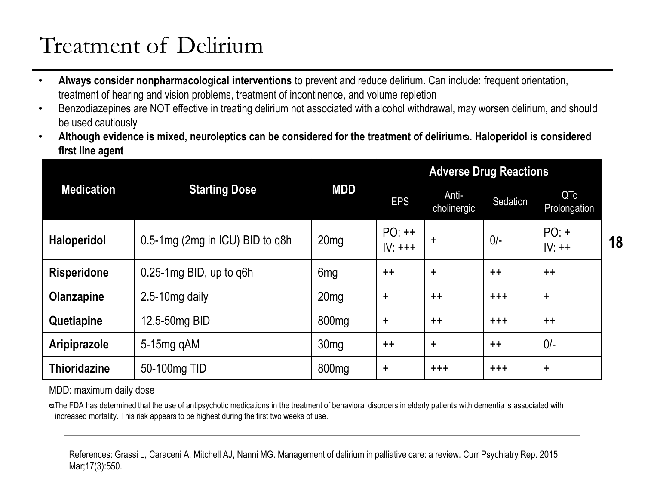# Treatment of Delirium

- **Always consider nonpharmacological interventions** to prevent and reduce delirium. Can include: frequent orientation, treatment of hearing and vision problems, treatment of incontinence, and volume repletion
- Benzodiazepines are NOT effective in treating delirium not associated with alcohol withdrawal, may worsen delirium, and should be used cautiously
- **Although evidence is mixed, neuroleptics can be considered for the treatment of delirium**®. Haloperidol is considered **first line agent**

|                     |                                 |                   | <b>Adverse Drug Reactions</b> |                      |          |                     |  |
|---------------------|---------------------------------|-------------------|-------------------------------|----------------------|----------|---------------------|--|
| <b>Medication</b>   | <b>Starting Dose</b>            | <b>MDD</b>        | <b>EPS</b>                    | Anti-<br>cholinergic | Sedation | QTc<br>Prolongation |  |
| <b>Haloperidol</b>  | 0.5-1mg (2mg in ICU) BID to q8h | 20 <sub>mg</sub>  | $PO:++$<br>$IV:+++$           | $\div$               | $0/-$    | $PO: +$<br>$IV:++$  |  |
| <b>Risperidone</b>  | $0.25-1$ mg BID, up to q6h      | 6 <sub>mg</sub>   | $++$                          | $\ddot{}$            | $++$     | $++$                |  |
| Olanzapine          | $2.5 - 10$ mg daily             | 20 <sub>mg</sub>  | $\ddot{}$                     | $++$                 | $+ + +$  | $\ddot{}$           |  |
| Quetiapine          | 12.5-50mg BID                   | 800 <sub>mg</sub> | $\ddot{}$                     | $++$                 | $+ + +$  | $++$                |  |
| Aripiprazole        | $5-15$ mg q $AM$                | 30 <sub>mg</sub>  | $++$                          | $\ddot{}$            | $++$     | $0/-$               |  |
| <b>Thioridazine</b> | 50-100mg TID                    | 800 <sub>mg</sub> | $\ddot{}$                     | $+ + +$              | $+ + +$  | $\ddot{}$           |  |

MDD: maximum daily dose

ᴓThe FDA has determined that the use of antipsychotic medications in the treatment of behavioral disorders in elderly patients with dementia is associated with increased mortality. This risk appears to be highest during the first two weeks of use.

References: Grassi L, Caraceni A, Mitchell AJ, Nanni MG. Management of delirium in palliative care: a review. Curr Psychiatry Rep. 2015 Mar;17(3):550.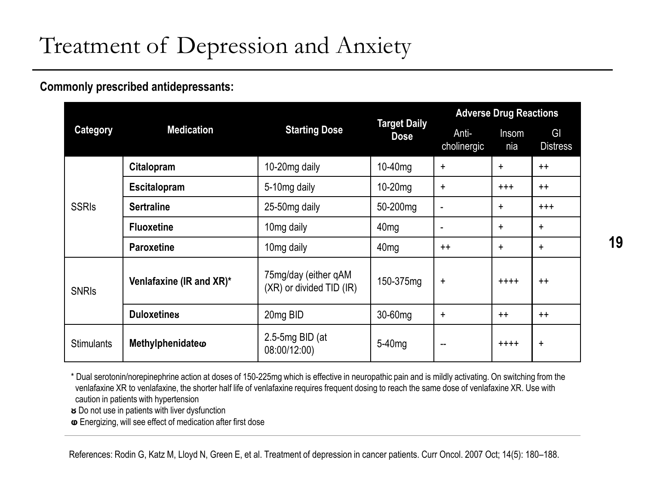# Treatment of Depression and Anxiety

**Commonly prescribed antidepressants:**

|                   |                          |                                                  |                                    | <b>Adverse Drug Reactions</b> |              |                       |
|-------------------|--------------------------|--------------------------------------------------|------------------------------------|-------------------------------|--------------|-----------------------|
| <b>Category</b>   | <b>Medication</b>        | <b>Starting Dose</b>                             | <b>Target Daily</b><br><b>Dose</b> | Anti-<br>cholinergic          | Insom<br>nia | GI<br><b>Distress</b> |
|                   | Citalopram               | 10-20mg daily                                    | 10-40mg                            | +                             | $\ddot{}$    | $++$                  |
| <b>SSRIs</b>      | <b>Escitalopram</b>      | 5-10mg daily                                     | $10-20$ mg                         | ÷                             | $^{+++}$     | $++$                  |
|                   | <b>Sertraline</b>        | 25-50mg daily                                    | 50-200mg                           | $\blacksquare$                | $\ddot{}$    | $^{+++}$              |
|                   | <b>Fluoxetine</b>        | 10mg daily                                       | 40 <sub>mg</sub>                   | $\blacksquare$                | $\ddot{}$    | $\ddot{}$             |
|                   | <b>Paroxetine</b>        | 10 <sub>mg</sub> daily                           | 40 <sub>mg</sub>                   | $++$                          | $\ddot{}$    | ÷                     |
| <b>SNRIS</b>      | Venlafaxine (IR and XR)* | 75mg/day (either qAM<br>(XR) or divided TID (IR) | 150-375mg                          | $\ddot{}$                     | $+ + + +$    | $++$                  |
|                   | <b>Duloxetines</b>       | 20mg BID                                         | 30-60mg                            | ÷                             | $++$         | $++$                  |
| <b>Stimulants</b> | Methylphenidateo         | 2.5-5 $mg$ BID (at<br>08:00/12:00)               | 5-40 <sub>mg</sub>                 | --                            | $++++$       | $\ddot{}$             |

\* Dual serotonin/norepinephrine action at doses of 150-225mg which is effective in neuropathic pain and is mildly activating. On switching from the venlafaxine XR to venlafaxine, the shorter half life of venlafaxine requires frequent dosing to reach the same dose of venlafaxine XR. Use with caution in patients with hypertension

**ᴕ** Do not use in patients with liver dysfunction

**ⱷ** Energizing, will see effect of medication after first dose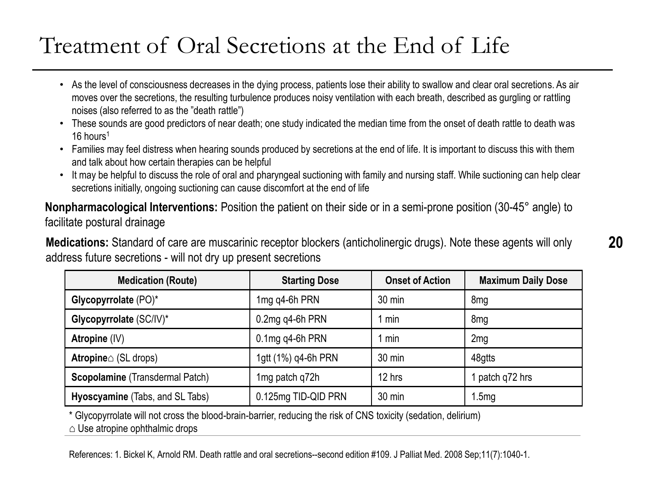### Treatment of Oral Secretions at the End of Life

- As the level of consciousness decreases in the dying process, patients lose their ability to swallow and clear oral secretions. As air moves over the secretions, the resulting turbulence produces noisy ventilation with each breath, described as gurgling or rattling noises (also referred to as the "death rattle")
- These sounds are good predictors of near death; one study indicated the median time from the onset of death rattle to death was 16 hours<sup>1</sup>
- Families may feel distress when hearing sounds produced by secretions at the end of life. It is important to discuss this with them and talk about how certain therapies can be helpful
- It may be helpful to discuss the role of oral and pharyngeal suctioning with family and nursing staff. While suctioning can help clear secretions initially, ongoing suctioning can cause discomfort at the end of life

**Nonpharmacological Interventions:** Position the patient on their side or in a semi-prone position (30-45° angle) to facilitate postural drainage

**Medications:** Standard of care are muscarinic receptor blockers (anticholinergic drugs). Note these agents will only address future secretions - will not dry up present secretions

| <b>Medication (Route)</b>              | <b>Starting Dose</b> | <b>Onset of Action</b> | <b>Maximum Daily Dose</b> |
|----------------------------------------|----------------------|------------------------|---------------------------|
| Glycopyrrolate (PO)*                   | 1mg q4-6h PRN        | $30 \text{ min}$       | 8mg                       |
| Glycopyrrolate (SC/IV)*                | 0.2mg q4-6h PRN      | min                    | 8 <sub>mg</sub>           |
| Atropine (IV)                          | $0.1$ mg q4-6h PRN   | min                    | 2mg                       |
| <b>Atropine</b> $\triangle$ (SL drops) | 1gtt (1%) q4-6h PRN  | $30 \text{ min}$       | 48gtts                    |
| Scopolamine (Transdermal Patch)        | 1mg patch q72h       | 12 hrs                 | patch q72 hrs             |
| Hyoscyamine (Tabs, and SL Tabs)        | 0.125mg TID-QID PRN  | $30 \text{ min}$       | 1.5mg                     |

\* Glycopyrrolate will not cross the blood-brain-barrier, reducing the risk of CNS toxicity (sedation, delirium)

 $\triangle$  Use atropine ophthalmic drops

References: 1. Bickel K, Arnold RM. Death rattle and oral secretions--second edition #109. J Palliat Med. 2008 Sep;11(7):1040-1.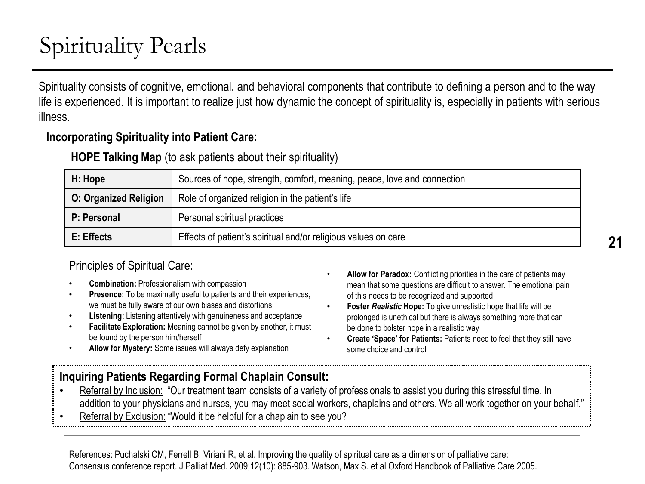# Spirituality Pearls

Spirituality consists of cognitive, emotional, and behavioral components that contribute to defining a person and to the way life is experienced. It is important to realize just how dynamic the concept of spirituality is, especially in patients with serious illness.

#### **Incorporating Spirituality into Patient Care:**

**HOPE Talking Map** (to ask patients about their spirituality)

| H: Hope                      | Sources of hope, strength, comfort, meaning, peace, love and connection |
|------------------------------|-------------------------------------------------------------------------|
| <b>O: Organized Religion</b> | Role of organized religion in the patient's life                        |
| P: Personal                  | Personal spiritual practices                                            |
| E: Effects                   | Effects of patient's spiritual and/or religious values on care          |

#### Principles of Spiritual Care:

- **Combination:** Professionalism with compassion
- **Presence:** To be maximally useful to patients and their experiences, we must be fully aware of our own biases and distortions
- **Listening:** Listening attentively with genuineness and acceptance
- **Facilitate Exploration:** Meaning cannot be given by another, it must be found by the person him/herself
- **Allow for Paradox:** Conflicting priorities in the care of patients may mean that some questions are difficult to answer. The emotional pain of this needs to be recognized and supported
- **Foster** *Realistic* **Hope:** To give unrealistic hope that life will be prolonged is unethical but there is always something more that can be done to bolster hope in a realistic way
- **Create 'Space' for Patients:** Patients need to feel that they still have some choice and control
- **Allow for Mystery:** Some issues will always defy explanation

#### **Inquiring Patients Regarding Formal Chaplain Consult:**

- Referral by Inclusion: "Our treatment team consists of a variety of professionals to assist you during this stressful time. In addition to your physicians and nurses, you may meet social workers, chaplains and others. We all work together on your behalf."
- Referral by Exclusion: "Would it be helpful for a chaplain to see you?

References: Puchalski CM, Ferrell B, Viriani R, et al. Improving the quality of spiritual care as a dimension of palliative care: Consensus conference report. J Palliat Med. 2009;12(10): 885-903. Watson, Max S. et al Oxford Handbook of Palliative Care 2005.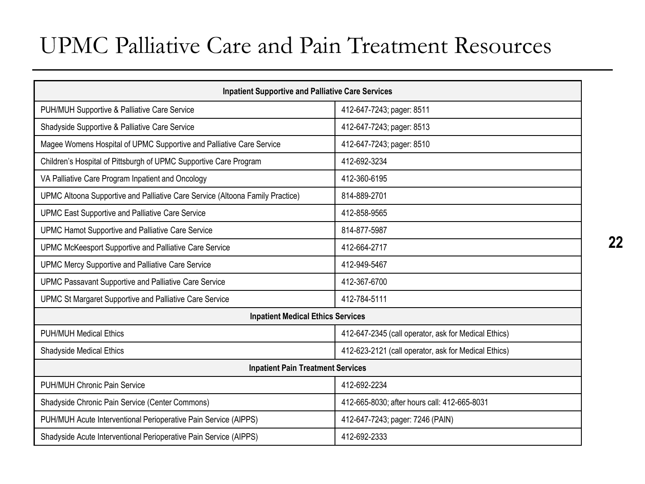### UPMC Palliative Care and Pain Treatment Resources

| <b>Inpatient Supportive and Palliative Care Services</b>                      |                                                      |  |  |  |
|-------------------------------------------------------------------------------|------------------------------------------------------|--|--|--|
| PUH/MUH Supportive & Palliative Care Service                                  | 412-647-7243; pager: 8511                            |  |  |  |
| Shadyside Supportive & Palliative Care Service                                | 412-647-7243; pager: 8513                            |  |  |  |
| Magee Womens Hospital of UPMC Supportive and Palliative Care Service          | 412-647-7243; pager: 8510                            |  |  |  |
| Children's Hospital of Pittsburgh of UPMC Supportive Care Program             | 412-692-3234                                         |  |  |  |
| VA Palliative Care Program Inpatient and Oncology                             | 412-360-6195                                         |  |  |  |
| UPMC Altoona Supportive and Palliative Care Service (Altoona Family Practice) | 814-889-2701                                         |  |  |  |
| UPMC East Supportive and Palliative Care Service                              | 412-858-9565                                         |  |  |  |
| UPMC Hamot Supportive and Palliative Care Service                             | 814-877-5987                                         |  |  |  |
| UPMC McKeesport Supportive and Palliative Care Service                        | 412-664-2717                                         |  |  |  |
| UPMC Mercy Supportive and Palliative Care Service                             | 412-949-5467                                         |  |  |  |
| UPMC Passavant Supportive and Palliative Care Service                         | 412-367-6700                                         |  |  |  |
| UPMC St Margaret Supportive and Palliative Care Service                       | 412-784-5111                                         |  |  |  |
| <b>Inpatient Medical Ethics Services</b>                                      |                                                      |  |  |  |
| <b>PUH/MUH Medical Ethics</b>                                                 | 412-647-2345 (call operator, ask for Medical Ethics) |  |  |  |
| Shadyside Medical Ethics                                                      | 412-623-2121 (call operator, ask for Medical Ethics) |  |  |  |
| <b>Inpatient Pain Treatment Services</b>                                      |                                                      |  |  |  |
| PUH/MUH Chronic Pain Service                                                  | 412-692-2234                                         |  |  |  |
| Shadyside Chronic Pain Service (Center Commons)                               | 412-665-8030; after hours call: 412-665-8031         |  |  |  |
| PUH/MUH Acute Interventional Perioperative Pain Service (AIPPS)               | 412-647-7243; pager: 7246 (PAIN)                     |  |  |  |
| Shadyside Acute Interventional Perioperative Pain Service (AIPPS)             | 412-692-2333                                         |  |  |  |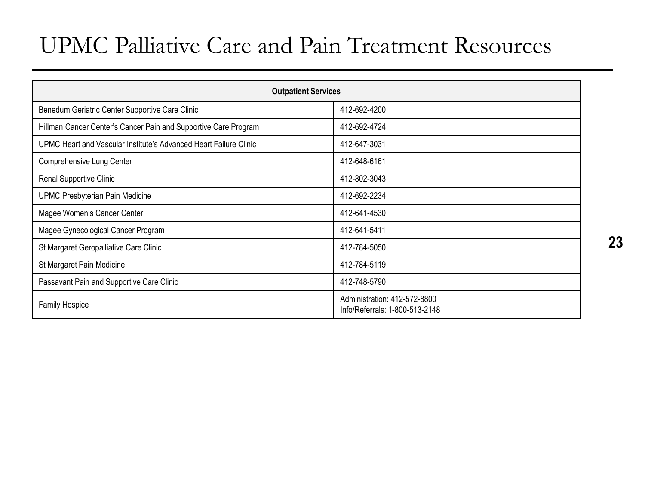### UPMC Palliative Care and Pain Treatment Resources

| <b>Outpatient Services</b>                                        |                                                                |  |  |
|-------------------------------------------------------------------|----------------------------------------------------------------|--|--|
| Benedum Geriatric Center Supportive Care Clinic                   | 412-692-4200                                                   |  |  |
| Hillman Cancer Center's Cancer Pain and Supportive Care Program   | 412-692-4724                                                   |  |  |
| UPMC Heart and Vascular Institute's Advanced Heart Failure Clinic | 412-647-3031                                                   |  |  |
| Comprehensive Lung Center                                         | 412-648-6161                                                   |  |  |
| Renal Supportive Clinic                                           | 412-802-3043                                                   |  |  |
| <b>UPMC Presbyterian Pain Medicine</b>                            | 412-692-2234                                                   |  |  |
| Magee Women's Cancer Center                                       | 412-641-4530                                                   |  |  |
| Magee Gynecological Cancer Program                                | 412-641-5411                                                   |  |  |
| St Margaret Geropalliative Care Clinic                            | 412-784-5050                                                   |  |  |
| St Margaret Pain Medicine                                         | 412-784-5119                                                   |  |  |
| Passavant Pain and Supportive Care Clinic                         | 412-748-5790                                                   |  |  |
| <b>Family Hospice</b>                                             | Administration: 412-572-8800<br>Info/Referrals: 1-800-513-2148 |  |  |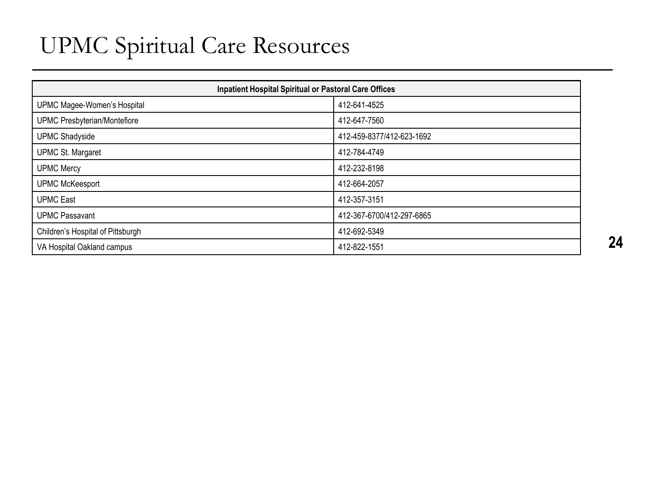### UPMC Spiritual Care Resources

| <b>Inpatient Hospital Spiritual or Pastoral Care Offices</b> |                           |  |
|--------------------------------------------------------------|---------------------------|--|
| UPMC Magee-Women's Hospital                                  | 412-641-4525              |  |
| UPMC Presbyterian/Montefiore                                 | 412-647-7560              |  |
| <b>UPMC Shadyside</b>                                        | 412-459-8377/412-623-1692 |  |
| <b>UPMC St. Margaret</b>                                     | 412-784-4749              |  |
| <b>UPMC Mercy</b>                                            | 412-232-8198              |  |
| <b>UPMC McKeesport</b>                                       | 412-664-2057              |  |
| <b>UPMC East</b>                                             | 412-357-3151              |  |
| <b>UPMC Passavant</b>                                        | 412-367-6700/412-297-6865 |  |
| Children's Hospital of Pittsburgh                            | 412-692-5349              |  |
| VA Hospital Oakland campus                                   | 412-822-1551              |  |
|                                                              |                           |  |